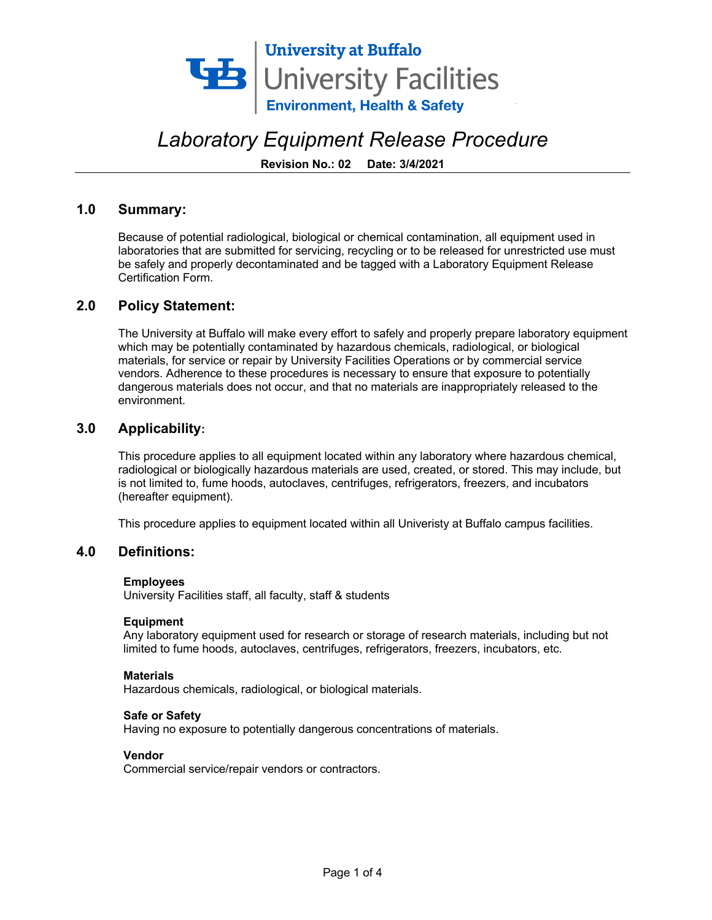

 **Revision No.: 02 Date: 3/4/2021** 

#### **1.0 Summary:**

 Because of potential radiological, biological or chemical contamination, all equipment used in laboratories that are submitted for servicing, recycling or to be released for unrestricted use must be safely and properly decontaminated and be tagged with a Laboratory Equipment Release Certification Form.

#### **2.0 Policy Statement:**

 The University at Buffalo will make every effort to safely and properly prepare laboratory equipment which may be potentially contaminated by hazardous chemicals, radiological, or biological materials, for service or repair by University Facilities Operations or by commercial service dangerous materials does not occur, and that no materials are inappropriately released to the vendors. Adherence to these procedures is necessary to ensure that exposure to potentially environment.

#### **3.0 Applicability:**

 This procedure applies to all equipment located within any laboratory where hazardous chemical, radiological or biologically hazardous materials are used, created, or stored. This may include, but is not limited to, fume hoods, autoclaves, centrifuges, refrigerators, freezers, and incubators (hereafter equipment).

This procedure applies to equipment located within all Univeristy at Buffalo campus facilities.

#### **4.0 Definitions:**

#### **Employees**

University Facilities staff, all faculty, staff & students

#### **Equipment**

 Any laboratory equipment used for research or storage of research materials, including but not limited to fume hoods, autoclaves, centrifuges, refrigerators, freezers, incubators, etc.

#### **Materials**

Hazardous chemicals, radiological, or biological materials.

#### **Safe or Safety**

Having no exposure to potentially dangerous concentrations of materials.

#### **Vendor**

Commercial service/repair vendors or contractors.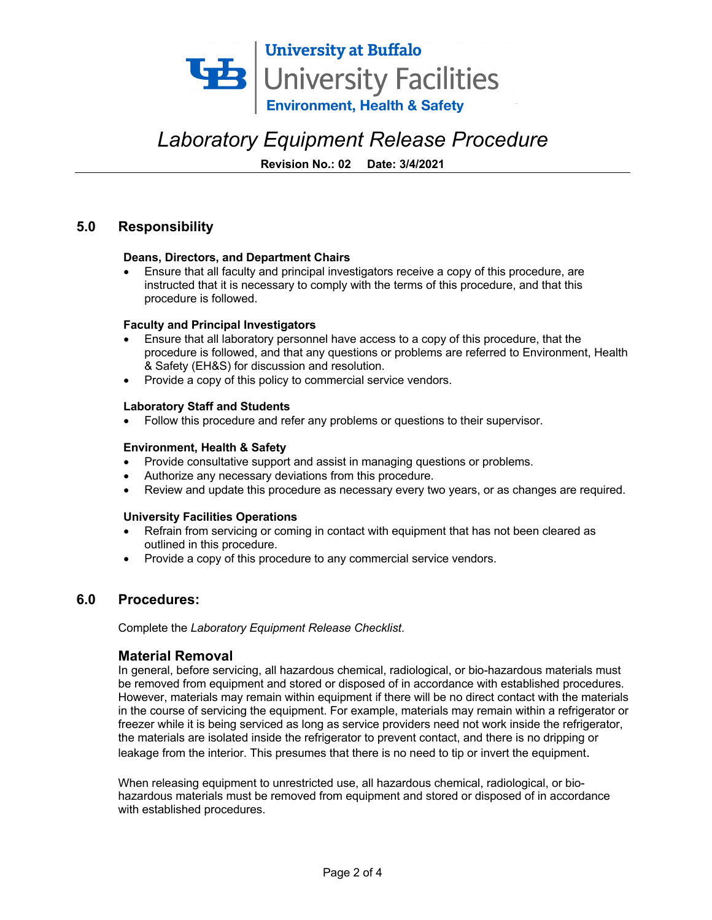

 **Revision No.: 02 Date: 3/4/2021** 

### **5.0 Responsibility**

#### **Deans, Directors, and Department Chairs**

 • Ensure that all faculty and principal investigators receive a copy of this procedure, are instructed that it is necessary to comply with the terms of this procedure, and that this procedure is followed.

#### **Faculty and Principal Investigators**

- • Ensure that all laboratory personnel have access to a copy of this procedure, that the procedure is followed, and that any questions or problems are referred to Environment, Health & Safety (EH&S) for discussion and resolution.
- Provide a copy of this policy to commercial service vendors.

#### **Laboratory Staff and Students**

• Follow this procedure and refer any problems or questions to their supervisor.

#### **Environment, Health & Safety**

- Provide consultative support and assist in managing questions or problems.
- Authorize any necessary deviations from this procedure.
- Review and update this procedure as necessary every two years, or as changes are required.

#### **University Facilities Operations**

- • Refrain from servicing or coming in contact with equipment that has not been cleared as outlined in this procedure.
- Provide a copy of this procedure to any commercial service vendors.

#### **6.0 Procedures:**

 Complete the *Laboratory Equipment Release Checklist*.

#### **Material Removal**

 be removed from equipment and stored or disposed of in accordance with established procedures. However, materials may remain within equipment if there will be no direct contact with the materials in the course of servicing the equipment. For example, materials may remain within a refrigerator or leakage from the interior. This presumes that there is no need to tip or invert the equipment. In general, before servicing, all hazardous chemical, radiological, or bio-hazardous materials must freezer while it is being serviced as long as service providers need not work inside the refrigerator, the materials are isolated inside the refrigerator to prevent contact, and there is no dripping or

 When releasing equipment to unrestricted use, all hazardous chemical, radiological, or bio- hazardous materials must be removed from equipment and stored or disposed of in accordance with established procedures.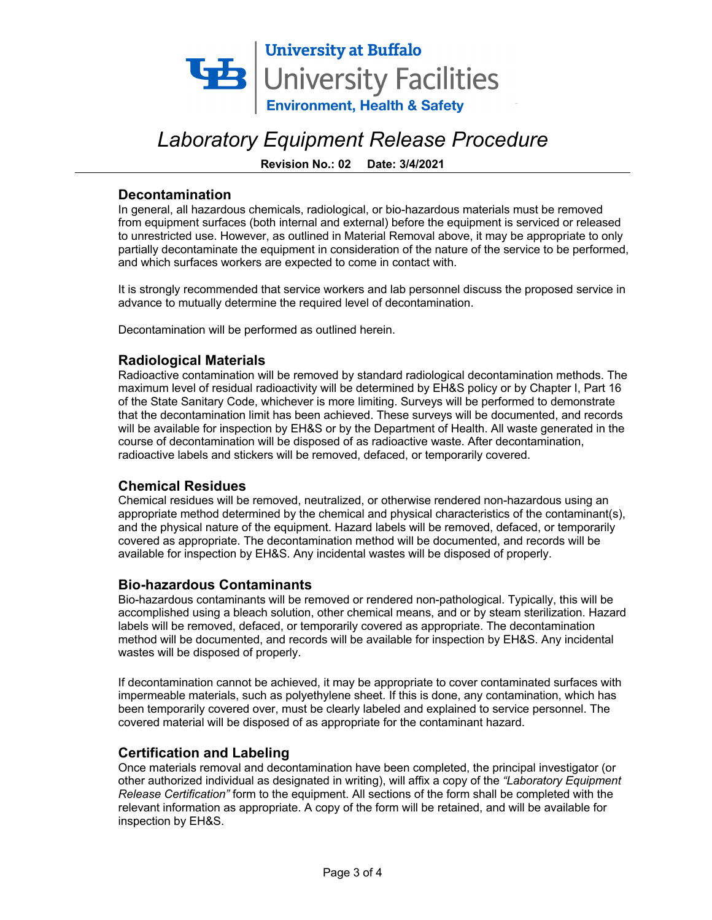

 **Revision No.: 02 Date: 3/4/2021** 

#### **Decontamination**

 to unrestricted use. However, as outlined in Material Removal above, it may be appropriate to only In general, all hazardous chemicals, radiological, or bio-hazardous materials must be removed from equipment surfaces (both internal and external) before the equipment is serviced or released partially decontaminate the equipment in consideration of the nature of the service to be performed, and which surfaces workers are expected to come in contact with.

 advance to mutually determine the required level of decontamination. It is strongly recommended that service workers and lab personnel discuss the proposed service in

Decontamination will be performed as outlined herein.

#### **Radiological Materials**

 maximum level of residual radioactivity will be determined by EH&S policy or by Chapter I, Part 16 of the State Sanitary Code, whichever is more limiting. Surveys will be performed to demonstrate will be available for inspection by EH&S or by the Department of Health. All waste generated in the course of decontamination will be disposed of as radioactive waste. After decontamination, Radioactive contamination will be removed by standard radiological decontamination methods. The that the decontamination limit has been achieved. These surveys will be documented, and records radioactive labels and stickers will be removed, defaced, or temporarily covered.

#### **Chemical Residues**

 Chemical residues will be removed, neutralized, or otherwise rendered non-hazardous using an and the physical nature of the equipment. Hazard labels will be removed, defaced, or temporarily available for inspection by EH&S. Any incidental wastes will be disposed of properly. appropriate method determined by the chemical and physical characteristics of the contaminant(s), covered as appropriate. The decontamination method will be documented, and records will be

#### **Bio-hazardous Contaminants**

 Bio-hazardous contaminants will be removed or rendered non-pathological. Typically, this will be accomplished using a bleach solution, other chemical means, and or by steam sterilization. Hazard labels will be removed, defaced, or temporarily covered as appropriate. The decontamination method will be documented, and records will be available for inspection by EH&S. Any incidental wastes will be disposed of properly.

 impermeable materials, such as polyethylene sheet. If this is done, any contamination, which has been temporarily covered over, must be clearly labeled and explained to service personnel. The covered material will be disposed of as appropriate for the contaminant hazard. If decontamination cannot be achieved, it may be appropriate to cover contaminated surfaces with

#### **Certification and Labeling**

 Once materials removal and decontamination have been completed, the principal investigator (or other authorized individual as designated in writing), will affix a copy of the *"Laboratory Equipment Release Certification"* form to the equipment. All sections of the form shall be completed with the relevant information as appropriate. A copy of the form will be retained, and will be available for inspection by EH&S.